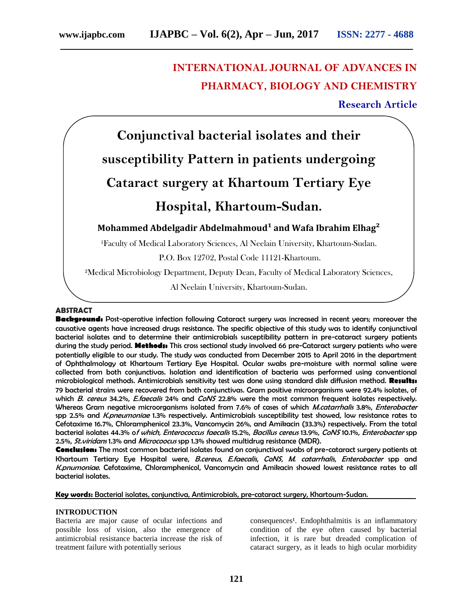# **INTERNATIONAL JOURNAL OF ADVANCES IN PHARMACY, BIOLOGY AND CHEMISTRY**

**Research Article**



²Medical Microbiology Department, Deputy Dean, Faculty of Medical Laboratory Sciences,

Al Neelain University, Khartoum-Sudan.

## **ABSTRACT**

**Background:** Post-operative infection following Cataract surgery was increased in recent years; moreover the causative agents have increased drugs resistance. The specific objective of this study was to identify conjunctival bacterial isolates and to determine their antimicrobials susceptibility pattern in pre-cataract surgery patients during the study period. **Methods:** This cross sectional study involved 66 pre-Cataract surgery patients who were potentially eligible to our study. The study was conducted from December 2015 to April 2016 in the department of Ophthalmology at Khartoum Tertiary Eye Hospital. Ocular swabs pre-moisture with normal saline were collected from both conjunctivas. Isolation and identification of bacteria was performed using conventional microbiological methods. Antimicrobials sensitivity test was done using standard disk diffusion method. **Results:** 79 bacterial strains were recovered from both conjunctivas. Gram positive microorganisms were 92.4% isolates, of which B. cereus 34.2%, E.faecalis 24% and CoNS 22.8% were the most common frequent isolates respectively. Whereas Gram negative microorganisms isolated from 7.6% of cases of which M.catarrhalis 3.8%, Enterobacter spp 2.5% and K.pneumoniae 1.3% respectively. Antimicrobials susceptibility test showed, low resistance rates to Cefotaxime 16.7%, Chloramphenicol 23.3%, Vancomycin 26%, and Amikacin (33.3%) respectively. From the total bacterial isolates 44.3% of which, Enterococcus faecalis 15.2%, Bacillus cereus 13.9%, CoNS 10.1%, Enterobacter spp 2.5%, St. viridans 1.3% and Microcoocus spp 1.3% showed multidrug resistance (MDR).

**Conclusion:** The most common bacterial isolates found on conjunctival swabs of pre-cataract surgery patients at Khartoum Tertiary Eye Hospital were, B.cereus, E.faecalis, CoNS, M. catarrhalis, Enterobacter spp and K.pnumoniae. Cefotaxime, Chloramphenicol, Vancomycin and Amikacin showed lowest resistance rates to all bacterial isolates.

#### **Key words:** Bacterial isolates, conjunctiva, Antimicrobials, pre-cataract surgery, Khartoum-Sudan.

## **INTRODUCTION**

Bacteria are major cause of ocular infections and possible loss of vision, also the emergence of antimicrobial resistance bacteria increase the risk of treatment failure with potentially serious

consequences<sup>1</sup>. Endophthalmitis is an inflammatory condition of the eye often caused by bacterial infection, it is rare but dreaded complication of cataract surgery, as it leads to high ocular morbidity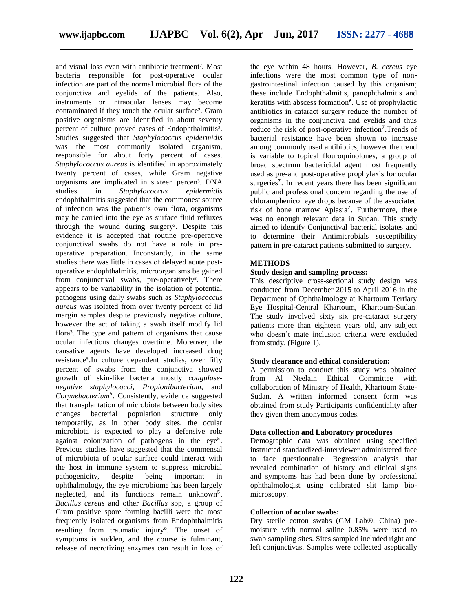and visual loss even with antibiotic treatment². Most bacteria responsible for post-operative ocular infection are part of the normal microbial flora of the conjunctiva and eyelids of the patients. Also, instruments or intraocular lenses may become contaminated if they touch the ocular surface². Gram positive organisms are identified in about seventy percent of culture proved cases of Endophthalmitis<sup>3</sup>. Studies suggested that *Staphylococcus epidermidis* was the most commonly isolated organism, responsible for about forty percent of cases. *Staphylococcus aureus* is identified in approximately twenty percent of cases, while Gram negative organisms are implicated in sixteen percen<sup>3</sup>. DNA studies in *Staphylococcus epidermidis* endophthalmitis suggested that the commonest source of infection was the patient's own flora, organisms may be carried into the eye as surface fluid refluxes through the wound during surgery<sup>3</sup>. Despite this evidence it is accepted that routine pre-operative conjunctival swabs do not have a role in preoperative preparation. Inconstantly, in the same studies there was little in cases of delayed acute postoperative endophthalmitis, microorganisms be gained from conjunctival swabs, pre-operatively<sup>3</sup>. There appears to be variability in the isolation of potential pathogens using daily swabs such as *Staphylococcus aureus* was isolated from over twenty percent of lid margin samples despite previously negative culture, however the act of taking a swab itself modify lid flora<sup>3</sup>. The type and pattern of organisms that cause ocular infections changes overtime. Moreover, the causative agents have developed increased drug resistance<sup>4</sup>.In culture dependent studies, over fifty percent of swabs from the conjunctiva showed growth of skin-like bacteria mostly *coagulasenegative staphylococci*, *Propionibacterium*, and *Corynebacterium*<sup>5</sup>. Consistently, evidence suggested that transplantation of microbiota between body sites changes bacterial population structure only temporarily, as in other body sites, the ocular microbiota is expected to play a defensive role against colonization of pathogens in the eye<sup>5</sup>. Previous studies have suggested that the commensal of microbiota of ocular surface could interact with the host in immune system to suppress microbial pathogenicity, despite being important in ophthalmology, the eye microbiome has been largely neglected, and its functions remain unknown<sup>5</sup>. *Bacillus cereus* and other *Bacillus* spp, a group of Gram positive spore forming bacilli were the most frequently isolated organisms from Endophthalmitis resulting from traumatic injury<sup>6</sup>. The onset of symptoms is sudden, and the course is fulminant, release of necrotizing enzymes can result in loss of

the eye within 48 hours. However, *B. cereus* eye infections were the most common type of nongastrointestinal infection caused by this organism; these include Endophthalmitis, panophthalmitis and keratitis with abscess formation<sup>6</sup>. Use of prophylactic antibiotics in cataract surgery reduce the number of organisms in the conjunctiva and eyelids and thus reduce the risk of post-operative infection<sup>7</sup>.Trends of bacterial resistance have been shown to increase among commonly used antibiotics, however the trend is variable to topical flouroquinolones, a group of broad spectrum bactericidal agent most frequently used as pre-and post-operative prophylaxis for ocular surgeries<sup>7</sup>. In recent years there has been significant public and professional concern regarding the use of chloramphenicol eye drops because of the associated risk of bone marrow Aplasia<sup>7</sup>. Furthermore, there was no enough relevant data in Sudan. This study aimed to identify Conjunctival bacterial isolates and to determine their Antimicrobials susceptibility pattern in pre-cataract patients submitted to surgery.

## **METHODS**

# **Study design and sampling process:**

This descriptive cross-sectional study design was conducted from December 2015 to April 2016 in the Department of Ophthalmology at Khartoum Tertiary Eye Hospital-Central Khartoum, Khartoum-Sudan. The study involved sixty six pre-cataract surgery patients more than eighteen years old, any subject who doesn't mate inclusion criteria were excluded from study, (Figure 1).

#### **Study clearance and ethical consideration:**

A permission to conduct this study was obtained from Al Neelain Ethical Committee with collaboration of Ministry of Health, Khartoum State-Sudan. A written informed consent form was obtained from study Participants confidentiality after they given them anonymous codes.

#### **Data collection and Laboratory procedures**

Demographic data was obtained using specified instructed standardized-interviewer administered face to face questionnaire. Regression analysis that revealed combination of history and clinical signs and symptoms has had been done by professional ophthalmologist using calibrated slit lamp biomicroscopy.

#### **Collection of ocular swabs:**

Dry sterile cotton swabs (GM Lab®, China) premoisture with normal saline 0.85% were used to swab sampling sites. Sites sampled included right and left conjunctivas. Samples were collected aseptically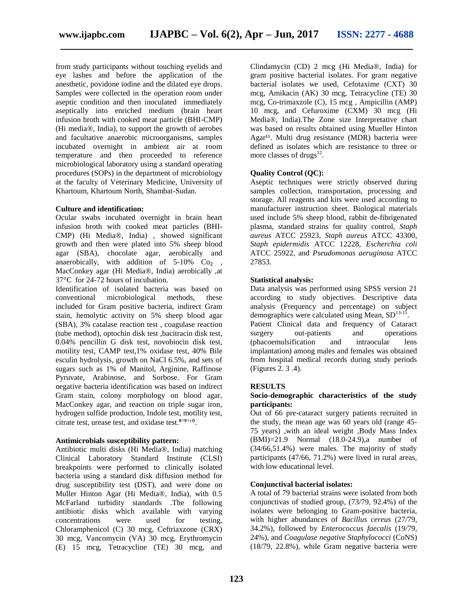from study participants without touching eyelids and eye lashes and before the application of the anesthetic, povidone iodine and the dilated eye drops. Samples were collected in the operation room under aseptic condition and then inoculated immediately aseptically into enriched medium (brain heart infusion broth with cooked meat particle (BHI-CMP) (Hi media®, India), to support the growth of aerobes and facultative anaerobic microorganisms, samples incubated overnight in ambient air at room temperature and then proceeded to reference microbiological laboratory using a standard operating procedures (SOPs) in the department of microbiology at the faculty of Veterinary Medicine, University of Khartoum, Khartoum North, Shambat-Sudan.

## **Culture and identification:**

Ocular swabs incubated overnight in brain heart infusion broth with cooked meat particles (BHI-CMP) (Hi Media®, India) , showed significant growth and then were plated into 5% sheep blood agar (SBA), chocolate agar, aerobically and anaerobically, with addition of  $5-10\%$  Co<sub>2</sub>, MacConkey agar (Hi Media®, India) aerobically ,at 37°C for 24-72 hours of incubation.

Identification of isolated bacteria was based on conventional microbiological methods, these included for Gram positive bacteria, indirect Gram stain, hemolytic activity on 5% sheep blood agar (SBA), 3% catalase reaction test , coagulase reaction (tube method), optochin disk test ,bacitracin disk test, 0.04% pencillin G disk test, novobiocin disk test, motility test, CAMP test,1% oxidase test, 40% Bile esculin hydrolysis, growth on NaCl 6.5%, and sets of sugars such as 1% of Manitol, Arginine, Raffinose Pyruvate, Arabinose, and Sorbose. For Gram negative bacteria identification was based on indirect Gram stain, colony morphology on blood agar, MacConkey agar, and reaction on triple sugar iron, hydrogen sulfide production, Indole test, motility test, citrate test, urease test, and oxidase test. $8'$ <sup>9'9'10</sup>.

#### **Antimicrobials susceptibility pattern:**

Antibiotic multi disks (Hi Media®, India) matching Clinical Laboratory Standard Institute (CLSI) breakpoints were performed to clinically isolated bacteria using a standard disk diffusion method for drug susceptibility test (DST), and were done on Muller Hinton Agar (Hi Media®, India), with 0.5 McFarland turbidity standards .The following antibiotic disks which available with varying concentrations were used for testing, Chloramphenicol (C) 30 mcg, Ceftriaxzone (CRX) 30 mcg, Vancomycin (VA) 30 mcg, Erythromycin (E) 15 mcg, Tetracycline (TE) 30 mcg, and

Clindamycin (CD) 2 mcg (Hi Media®, India) for gram positive bacterial isolates. For gram negative bacterial isolates we used, Cefotaxime (CXT) 30 mcg, Amikacin (AK) 30 mcg, Tetracycline (TE) 30 mcg, Co-trimaxzole (C), 15 mcg , Ampicillin (AMP) 10 mcg, and Cefuroxime (CXM) 30 mcg (Hi Media®, India).The Zone size Interpretative chart was based on results obtained using Mueller Hinton Agar<sup>11</sup>. Multi drug resistance (MDR) bacteria were defined as isolates which are resistance to three or more classes of drugs $^{12}$ .

## **Quality Control (QC):**

Aseptic techniques were strictly observed during samples collection, transportation, processing and storage. All reagents and kits were used according to manufacturer instruction sheet. Biological materials used include 5% sheep blood, rabbit de-fibrigenated plasma, standard strains for quality control, *Staph aureus* ATCC 25923, *Staph aureus* ATCC 43300, *Staph epidermidis* ATCC 12228, *Escherchia coli* ATCC 25922, and *Pseudomonas aeruginosa* ATCC 27853.

#### **Statistical analysis:**

Data analysis was performed using SPSS version 21 according to study objectives. Descriptive data analysis (Frequency and percentage) on subject demographics were calculated using Mean,  $SD^{13-15}$ . Patient Clinical data and frequency of Cataract surgery out-patients and operations (phacoemulsification and intraocular lens implantation) among males and females was obtained from hospital medical records during study periods (Figures 2. 3 .4).

#### **RESULTS**

## **Socio-demographic characteristics of the study participants:**

Out of 66 pre-cataract surgery patients recruited in the study, the mean age was 60 years old (range 45- 75 years) ,with an ideal weight ,Body Mass Index (BMI)=21.9 Normal (18.0-24.9),a number of (34/66,51.4%) were males. The majority of study participants (47/66, 71.2%) were lived in rural areas, with low educational level.

#### **Conjunctival bacterial isolates:**

A total of 79 bacterial strains were isolated from both conjunctivas of studied group, (73/79, 92.4%) of the isolates were belonging to Gram-positive bacteria, with higher abundances of *Bacillus cereus* (27/79, 34.2%), followed by *Enterococcus faecalis* (19/79, 24%), and *Coagulase negative Staphylococci* (CoNS) (18/79, 22.8%), while Gram negative bacteria were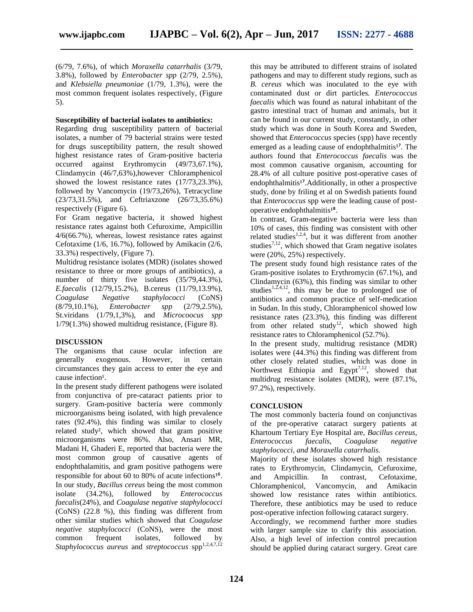(6/79, 7.6%), of which *Moraxella catarrhalis* (3/79, 3.8%), followed by *Enterobacter spp* (2/79, 2.5%), and *Klebsiella pneumoniae* (1/79, 1.3%), were the most common frequent isolates respectively, (Figure 5).

## **Susceptibility of bacterial isolates to antibiotics:**

Regarding drug susceptibility pattern of bacterial isolates, a number of 79 bacterial strains were tested for drugs susceptibility pattern, the result showed highest resistance rates of Gram-positive bacteria occurred against Erythromycin (49/73,67.1%), Clindamycin (46/7,63%),however Chloramphenicol showed the lowest resistance rates (17/73,23.3%), followed by Vancomycin (19/73,26%), Tetracycline (23/73,31.5%), and Ceftriaxzone (26/73,35.6%) respectively (Figure 6).

For Gram negative bacteria, it showed highest resistance rates against both Cefuroxime, Ampicillin 4/6(66.7%), whereas, lowest resistance rates against Cefotaxime (1/6, 16.7%), followed by Amikacin (2/6, 33.3%) respectively, (Figure 7).

Multidrug resistance isolates (MDR) (isolates showed resistance to three or more groups of antibiotics), a number of thirty five isolates  $(35/79,44.3\%)$ , *E.faecalis* (12/79,15.2%), B.cereus (11/79,13.9%), *Coagulase Negative staphylococci* (CoNS) (8/79,10.1%), *Enterobacter spp* (2/79,2.5%), St.viridans (1/79,1,3%), and *Microcoocus spp* 1/79(1.3%) showed multidrug resistance, (Figure 8).

## **DISCUSSION**

The organisms that cause ocular infection are generally exogenous. However, in certain circumstances they gain access to enter the eye and cause infection<sup>1</sup>.

In the present study different pathogens were isolated from conjunctiva of pre-cataract patients prior to surgery. Gram-positive bacteria were commonly microorganisms being isolated, with high prevalence rates (92.4%), this finding was similar to closely related study², which showed that gram positive microorganisms were 86%. Also, Ansari MR, Madani H, Ghaderi E, reported that bacteria were the most common group of causative agents of endophthalamitis, and gram positive pathogens were responsible for about 60 to 80% of acute infections<sup>16</sup>. In our study, *Bacillus cereus* being the most common isolate (34.2%), followed by *Enterococcus faecalis*(24%), and *Coagulase negative staphylococci* (CoNS) (22.8 %), this finding was different from other similar studies which showed that *Coagulase negative staphylococci* (CoNS), were the most common frequent isolates*,* followed by *Staphylococcus aureus* and *streptococcus* spp<sup>1,2,4,7,12</sup>

this may be attributed to different strains of isolated pathogens and may to different study regions, such as *B. cereus* which was inoculated to the eye with contaminated dust or dirt particles*. Enterococcus faecalis* which was found as natural inhabitant of the gastro intestinal tract of human and animals, but it can be found in our current study, constantly, in other study which was done in South Korea and Sweden, showed that *Enterococcus* species (spp) have recently emerged as a leading cause of endophthalmitis<sup>17</sup>. The authors found that *Enterococcus faecalis* was the most common causative organism, accounting for 28.4% of all culture positive post-operative cases of endophthalmitis<sup>17</sup>.Additionally, in other a prospective study, done by friling et al on Swedish patients found that *Enterococcus* spp were the leading cause of postoperative endophthalmitis<sup>18</sup>.

In contrast, Gram-negative bacteria were less than 10% of cases, this finding was consistent with other related studies<sup>1,2,4</sup>, but it was different from another studies<sup>7,12</sup>, which showed that Gram negative isolates were (20%, 25%) respectively.

The present study found high resistance rates of the Gram-positive isolates to Erythromycin (67.1%), and Clindamycin (63%), this finding was similar to other studies<sup>1,2,4,12</sup>, this may be due to prolonged use of antibiotics and common practice of self-medication in Sudan. In this study, Chloramphenicol showed low resistance rates (23.3%), this finding was different from other related study<sup>12</sup>, which showed high resistance rates to Chloramphenicol (52.7%).

In the present study, multidrug resistance (MDR) isolates were (44.3%) this finding was different from other closely related studies, which was done in Northwest Ethiopia and Egypt<sup>7,12</sup>, showed that multidrug resistance isolates (MDR), were (87.1%, 97.2%), respectively.

# **CONCLUSION**

The most commonly bacteria found on conjunctivas of the pre-operative cataract surgery patients at Khartoum Tertiary Eye Hospital are, *Bacillus cereus*, *Enterococcus faecalis*, *Coagulase negative staphylococci, and Moraxella catarrhalis.*

Majority of these isolates showed high resistance rates to Erythromycin, Clindamycin, Cefuroxime, and Ampicillin. In contrast, Cefotaxime, Chloramphenicol, Vancomycin, and Amikacin showed low resistance rates within antibiotics. Therefore, these antibiotics may be used to reduce post-operative infection following cataract surgery.

Accordingly, we recommend further more studies with larger sample size to clarify this association. Also, a high level of infection control precaution should be applied during cataract surgery. Great care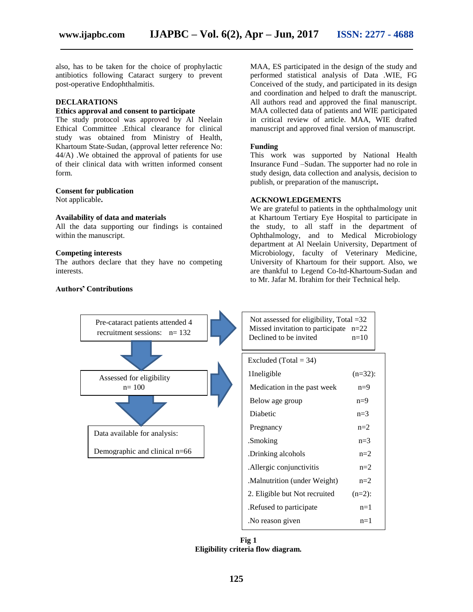also, has to be taken for the choice of prophylactic antibiotics following Cataract surgery to prevent post-operative Endophthalmitis.

## **DECLARATIONS**

## **Ethics approval and consent to participate**

The study protocol was approved by Al Neelain Ethical Committee .Ethical clearance for clinical study was obtained from Ministry of Health, Khartoum State-Sudan, (approval letter reference No: 44/A) .We obtained the approval of patients for use of their clinical data with written informed consent form.

## **Consent for publication**

Not applicable**.**

## **Availability of data and materials**

All the data supporting our findings is contained within the manuscript.

#### **Competing interests**

The authors declare that they have no competing interests.

## **Authorś' Contributions**

MAA, ES participated in the design of the study and performed statistical analysis of Data .WIE, FG Conceived of the study, and participated in its design and coordination and helped to draft the manuscript. All authors read and approved the final manuscript. MAA collected data of patients and WIE participated in critical review of article. MAA, WIE drafted manuscript and approved final version of manuscript.

#### **Funding**

This work was supported by National Health Insurance Fund –Sudan. The supporter had no role in study design, data collection and analysis, decision to publish, or preparation of the manuscript**.**

#### **ACKNOWLEDGEMENTS**

We are grateful to patients in the ophthalmology unit at Khartoum Tertiary Eye Hospital to participate in the study, to all staff in the department of Ophthalmology, and to Medical Microbiology department at Al Neelain University, Department of Microbiology, faculty of Veterinary Medicine, University of Khartoum for their support. Also, we are thankful to Legend Co-ltd-Khartoum-Sudan and to Mr. Jafar M. Ibrahim for their Technical help.



**Fig 1 Eligibility criteria flow diagram.**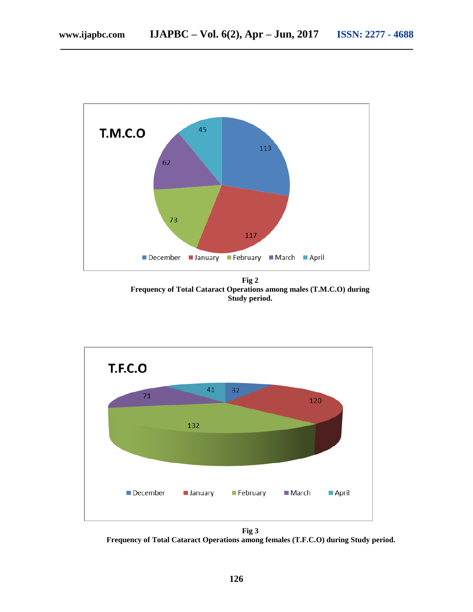

**Fig 2 Frequency of Total Cataract Operations among males (T.M.C.O) during Study period.**



**Fig 3 Frequency of Total Cataract Operations among females (T.F.C.O) during Study period.**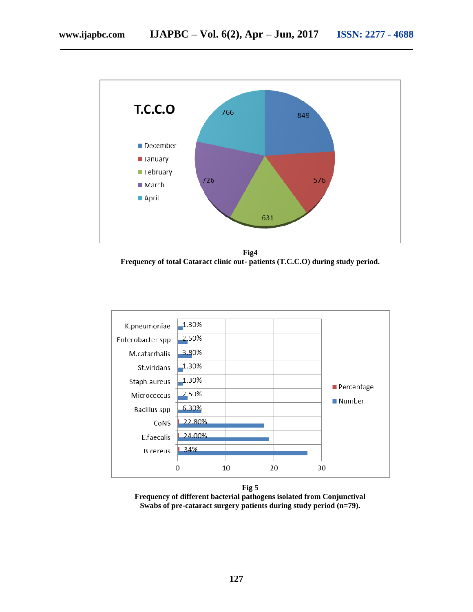

**Fig4 Frequency of total Cataract clinic out- patients (T.C.C.O) during study period.**





**Frequency of different bacterial pathogens isolated from Conjunctival Swabs of pre-cataract surgery patients during study period (n=79).**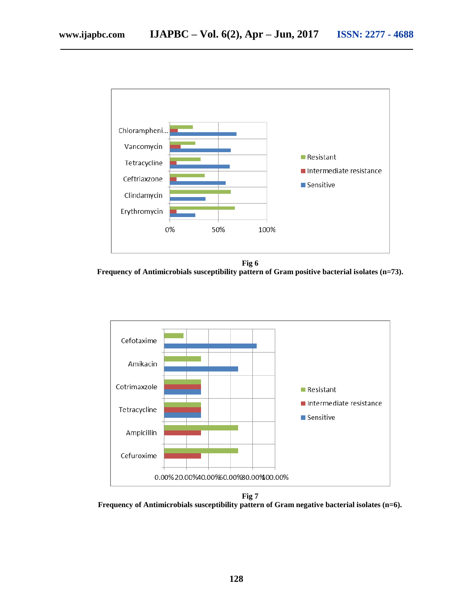

**Fig 6 Frequency of Antimicrobials susceptibility pattern of Gram positive bacterial isolates (n=73).**



**Fig 7** 

**Frequency of Antimicrobials susceptibility pattern of Gram negative bacterial isolates (n=6).**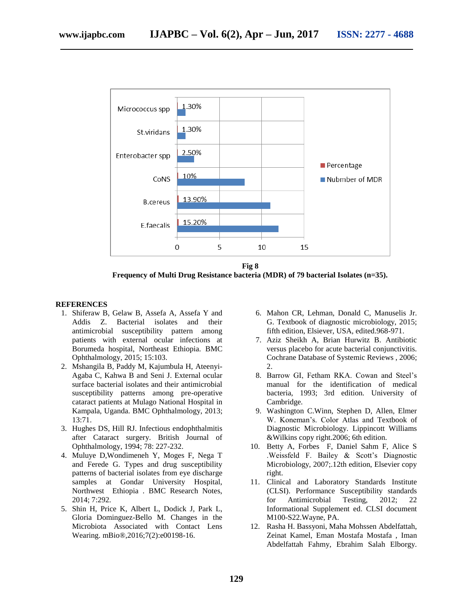

**Fig 8 Frequency of Multi Drug Resistance bacteria (MDR) of 79 bacterial Isolates (n=35).**

## **REFERENCES**

- 1. Shiferaw B, Gelaw B, Assefa A, Assefa Y and Addis Z. Bacterial isolates and their antimicrobial susceptibility pattern among patients with external ocular infections at Borumeda hospital, Northeast Ethiopia. BMC Ophthalmology, 2015; 15:103.
- 2. Mshangila B, Paddy M, Kajumbula H, Ateenyi-Agaba C, Kahwa B and Seni J. External ocular surface bacterial isolates and their antimicrobial susceptibility patterns among pre-operative cataract patients at Mulago National Hospital in Kampala, Uganda. BMC Ophthalmology, 2013; 13:71.
- 3. Hughes DS, Hill RJ. Infectious endophthalmitis after Cataract surgery. British Journal of Ophthalmology, 1994; 78: 227-232.
- 4. Muluye D,Wondimeneh Y, Moges F, Nega T and Ferede G. Types and drug susceptibility patterns of bacterial isolates from eye discharge samples at Gondar University Hospital, Northwest Ethiopia . BMC Research Notes, 2014; 7:292.
- 5. Shin H, Price K, Albert L, Dodick J, Park L, Gloria Dominguez-Bello M. Changes in the Microbiota Associated with Contact Lens Wearing. mBio®,2016;7(2):e00198-16.
- 6. Mahon CR, Lehman, Donald C, Manuselis Jr. G. Textbook of diagnostic microbiology, 2015; fifth edition, Elsiever, USA, edited.968-971.
- 7. Aziz Sheikh A, Brian Hurwitz B. Antibiotic versus placebo for acute bacterial conjunctivitis. Cochrane Database of Systemic Reviews , 2006; 2.
- 8. Barrow GI, Fetham RKA. Cowan and Steel's manual for the identification of medical bacteria, 1993; 3rd edition. University of Cambridge.
- 9. Washington C.Winn, Stephen D, Allen, Elmer W. Koneman's. Color Atlas and Textbook of Diagnostic Microbiology. Lippincott Williams &Wilkins copy right.2006; 6th edition.
- 10. Betty A, Forbes F, Daniel Sahm F, Alice S .Weissfeld F. Bailey & Scott's Diagnostic Microbiology, 2007;.12th edition, Elsevier copy right.
- 11. Clinical and Laboratory Standards Institute (CLSI). Performance Susceptibility standards for Antimicrobial Testing, 2012; 22 Informational Supplement ed. CLSI document M100-S22.Wayne, PA.
- 12. Rasha H. Bassyoni, Maha Mohssen Abdelfattah, Zeinat Kamel, Eman Mostafa Mostafa , Iman Abdelfattah Fahmy, Ebrahim Salah Elborgy.